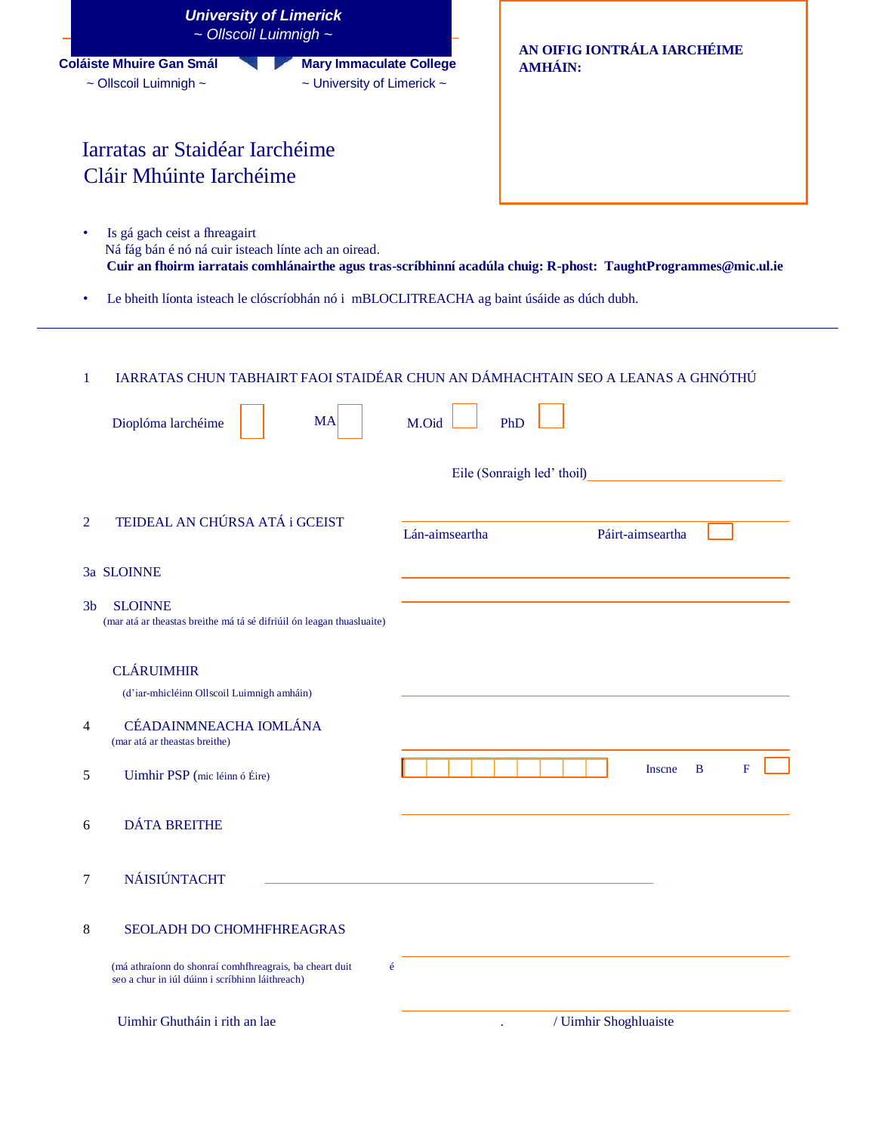| <b>University of Limerick</b><br>$\sim$ Ollscoil Luimnigh $\sim$                                                                                                                                        | AN OIFIG IONTRÁLA IARCHÉIME |                            |  |
|---------------------------------------------------------------------------------------------------------------------------------------------------------------------------------------------------------|-----------------------------|----------------------------|--|
| <b>Coláiste Mhuire Gan Smál</b><br><b>Mary Immaculate College</b><br>~ University of Limerick ~<br>~ Ollscoil Luimnigh ~                                                                                |                             | <b>AMHÁIN:</b>             |  |
| Iarratas ar Staidéar Iarchéime<br>Cláir Mhúinte Iarchéime                                                                                                                                               |                             |                            |  |
| Is gá gach ceist a fhreagairt<br>Ná fág bán é nó ná cuir isteach línte ach an oiread.<br>Cuir an fhoirm iarratais comhlánairthe agus tras-scríbhinní acadúla chuig: R-phost: TaughtProgrammes@mic.ul.ie |                             |                            |  |
| Le bheith líonta isteach le clóscríobhán nó i mBLOCLITREACHA ag baint úsáide as dúch dubh.                                                                                                              |                             |                            |  |
| IARRATAS CHUN TABHAIRT FAOI STAIDÉAR CHUN AN DÁMHACHTAIN SEO A LEANAS A GHNÓTHÚ<br>1<br><b>MA</b><br>Dioplóma larchéime                                                                                 | M.Oid                       | PhD                        |  |
|                                                                                                                                                                                                         |                             | Eile (Sonraigh led' thoil) |  |
| TEIDEAL AN CHÚRSA ATÁ i GCEIST<br>2                                                                                                                                                                     | Lán-aimseartha              | Páirt-aimseartha           |  |
| 3a SLOINNE                                                                                                                                                                                              |                             |                            |  |
| <b>SLOINNE</b><br>3b<br>(mar atá ar theastas breithe má tá sé difriúil ón leagan thuasluaite)                                                                                                           |                             |                            |  |
| <b>CLÁRUIMHIR</b><br>(d'iar-mhicléinn Ollscoil Luimnigh amháin)                                                                                                                                         |                             |                            |  |
| CÉADAINMNEACHA IOMLÁNA<br>4<br>(mar atá ar theastas breithe)                                                                                                                                            |                             |                            |  |
| 5<br>Uimhir PSP (mic léinn ó Éire)                                                                                                                                                                      |                             | Inscne<br>B<br>F           |  |
| <b>DÁTA BREITHE</b><br>6                                                                                                                                                                                |                             |                            |  |
| NÁISIÚNTACHT<br>7                                                                                                                                                                                       |                             |                            |  |
| 8<br>SEOLADH DO CHOMHFHREAGRAS                                                                                                                                                                          |                             |                            |  |
| (má athraíonn do shonraí comhfhreagrais, ba cheart duit<br>é<br>seo a chur in iúl dúinn i scríbhinn láithreach)                                                                                         |                             |                            |  |
| Uimhir Ghutháin i rith an lae                                                                                                                                                                           |                             | / Uimhir Shoghluaiste      |  |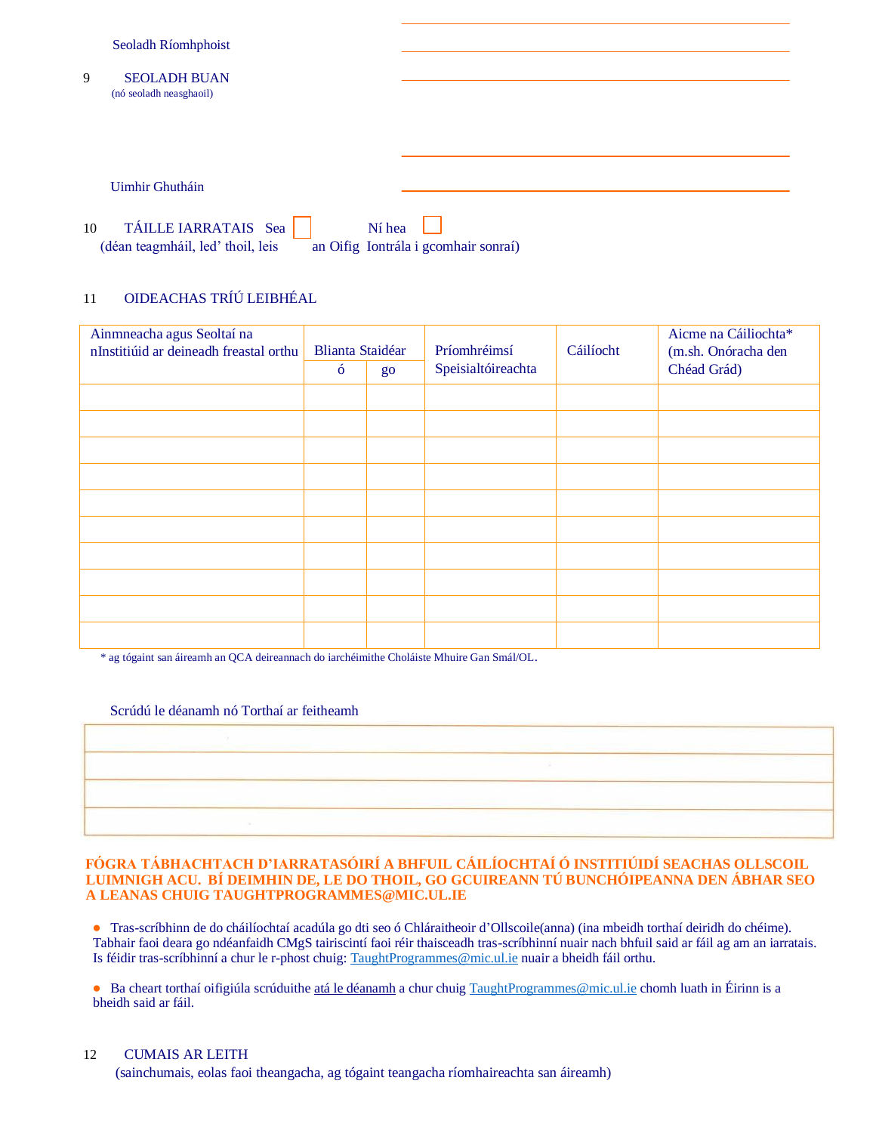|    | Seoladh Ríomhphoist                            |        |  |
|----|------------------------------------------------|--------|--|
| 9  | <b>SEOLADH BUAN</b><br>(nó seoladh neasghaoil) |        |  |
|    |                                                |        |  |
|    | Uimhir Ghutháin                                |        |  |
| 10 | TÁILLE IARRATAIS Sea                           | Ní hea |  |

| (déan teagmháil, led' thoil, leis | an Oifig Iontrála i gcomhair sonraí) |
|-----------------------------------|--------------------------------------|
|                                   |                                      |

# 11 OIDEACHAS TRÍÚ LEIBHÉAL

| Ainmneacha agus Seoltaí na<br>nInstitiúid ar deineadh freastal orthu | <b>Blianta Staidéar</b> |    | Príomhréimsí       | Cáilíocht | Aicme na Cáiliochta*<br>(m.sh. Onóracha den |
|----------------------------------------------------------------------|-------------------------|----|--------------------|-----------|---------------------------------------------|
|                                                                      | ó                       | go | Speisialtóireachta |           | Chéad Grád)                                 |
|                                                                      |                         |    |                    |           |                                             |
|                                                                      |                         |    |                    |           |                                             |
|                                                                      |                         |    |                    |           |                                             |
|                                                                      |                         |    |                    |           |                                             |
|                                                                      |                         |    |                    |           |                                             |
|                                                                      |                         |    |                    |           |                                             |
|                                                                      |                         |    |                    |           |                                             |
|                                                                      |                         |    |                    |           |                                             |
|                                                                      |                         |    |                    |           |                                             |
|                                                                      |                         |    |                    |           |                                             |

\* ag tógaint san áireamh an QCA deireannach do iarchéimithe Choláiste Mhuire Gan Smál/OL.

#### Scrúdú le déanamh nó Torthaí ar feitheamh

### **FÓGRA TÁBHACHTACH D'IARRATASÓIRÍ A BHFUIL CÁILÍOCHTAÍ Ó INSTITIÚIDÍ SEACHAS OLLSCOIL LUIMNIGH ACU. BÍ DEIMHIN DE, LE DO THOIL, GO GCUIREANN TÚ BUNCHÓIPEANNA DEN ÁBHAR SEO A LEANAS CHUIG TAUGHTPROGRAMMES@MIC.UL.IE**

● Tras-scríbhinn de do cháilíochtaí acadúla go dti seo ó Chláraitheoir d'Ollscoile(anna) (ina mbeidh torthaí deiridh do chéime). Tabhair faoi deara go ndéanfaidh CMgS tairiscintí faoi réir thaisceadh tras-scríbhinní nuair nach bhfuil said ar fáil ag am an iarratais. Is féidir tras-scríbhinní a chur le r-phost chuig: [TaughtProgrammes@mic.ul.ie](mailto:TaughtProgrammes@mic.ul.ie) nuair a bheidh fáil orthu.

● Ba cheart torthaí oifigiúla scrúduithe <u>atá le déanamh</u> a chur chuig [TaughtProgrammes@mic.ul.ie](mailto:TaughtProgrammes@mic.ul.ie) chomh luath in Éirinn is a bheidh said ar fáil.

### 12 CUMAIS AR LEITH

(sainchumais, eolas faoi theangacha, ag tógaint teangacha ríomhaireachta san áireamh)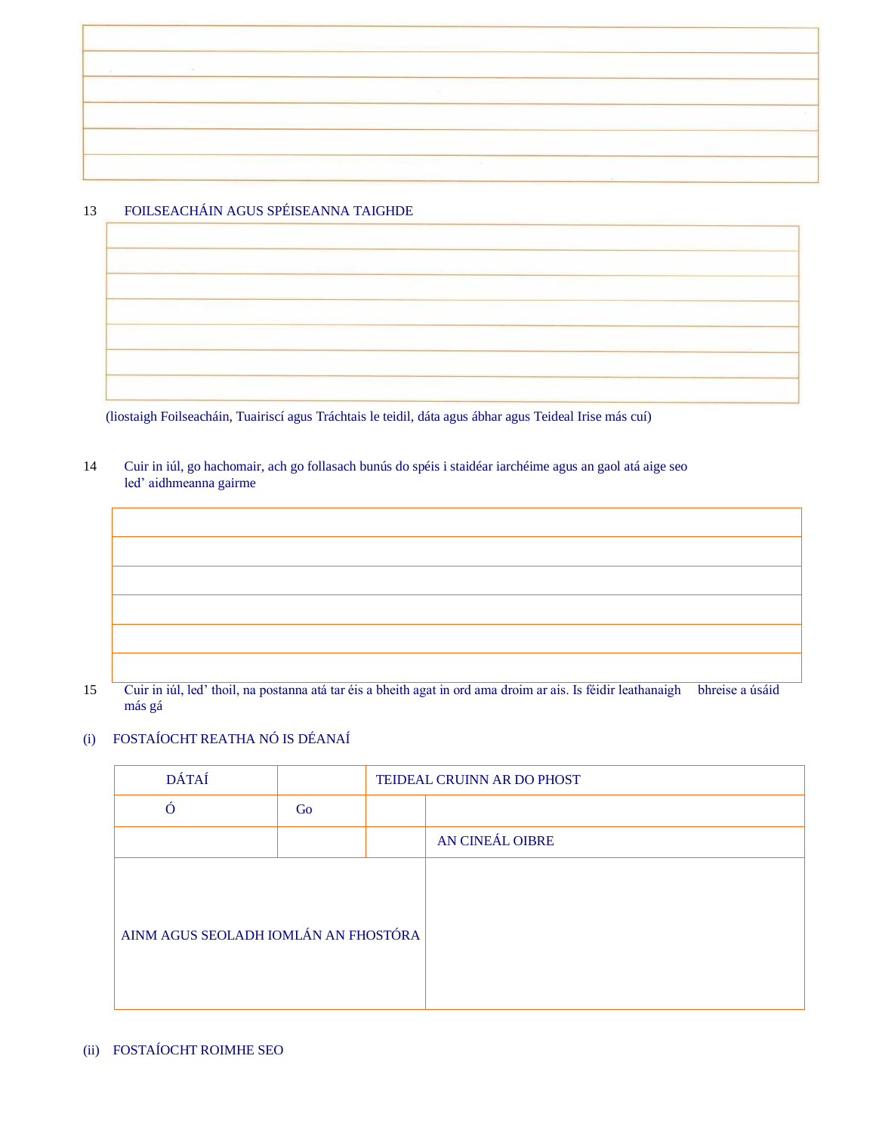| <u> Territoria de la capital de la capital de la capital de la capital de la capital de la capital de la capital de la capital de la capital de la capital de la capital de la capital de la capital de la capital de la capital</u><br>the company's company's company's company's<br>and the contract of the contract of the contract of the contract of the contract of the contract of the contract of |  |
|------------------------------------------------------------------------------------------------------------------------------------------------------------------------------------------------------------------------------------------------------------------------------------------------------------------------------------------------------------------------------------------------------------|--|
|                                                                                                                                                                                                                                                                                                                                                                                                            |  |
| and the contract of the contract of the contract of the contract of the contract of the contract of the contract of<br><u> De Santa Carlos de Santa Carlos de Santa Carlos de Santa Carlos de Santa Carlos de Santa Carlos de Santa Car</u>                                                                                                                                                                |  |
| <u> 1989 - Andrea Stadt Britain, amerikan beste bisantikan besar dan besar besar dalam besar dan besar dan besar</u><br>______                                                                                                                                                                                                                                                                             |  |
|                                                                                                                                                                                                                                                                                                                                                                                                            |  |
| <b>Contract Contract</b><br><u>and the company of the company of the company of the company of the company of the company of the company of the company of the company of the company of the company of the company of the company of the company of the com</u>                                                                                                                                           |  |
| the contract of the contract of the contract of<br>--                                                                                                                                                                                                                                                                                                                                                      |  |

# 13 FOILSEACHÁIN AGUS SPÉISEANNA TAIGHDE

| _____                                                                                                                                                                                                                                |
|--------------------------------------------------------------------------------------------------------------------------------------------------------------------------------------------------------------------------------------|
| the contract of the contract of the contract of<br><u> 1980 - Jan James Stein, Amerikaansk politiker (</u>                                                                                                                           |
| and the control of the control of the control of the control of the control of the control of the control of the<br>and the company of the company of the company of the company of the company of the company of the company of the |
| and the contract of the contract of the contract of the contract of the contract of the contract of the contract of                                                                                                                  |
| <b>Contract Contract</b><br>the contract of the contract of the contract of                                                                                                                                                          |
| production and the second control of the control of the control of the control of the control of the control of                                                                                                                      |
| <u> De Santa Carlos de Santa Carlos de Santa Carlos de Santa Carlos de Santa Carlos de Santa Carlos de Santa Car</u>                                                                                                                 |

(liostaigh Foilseacháin, Tuairiscí agus Tráchtais le teidil, dáta agus ábhar agus Teideal Irise más cuí)

14 Cuir in iúl, go hachomair, ach go follasach bunús do spéis i staidéar iarchéime agus an gaol atá aige seo led' aidhmeanna gairme

15 Cuir in iúl, led' thoil, na postanna atá tar éis a bheith agat in ord ama droim ar ais. Is féidir leathanaigh bhreise a úsáid más gá

## (i) FOSTAÍOCHT REATHA NÓ IS DÉANAÍ

| DÁTAÍ                                |    | TEIDEAL CRUINN AR DO PHOST |
|--------------------------------------|----|----------------------------|
| Ó                                    | Go |                            |
|                                      |    | AN CINEÁL OIBRE            |
| AINM AGUS SEOLADH IOMLÁN AN FHOSTÓRA |    |                            |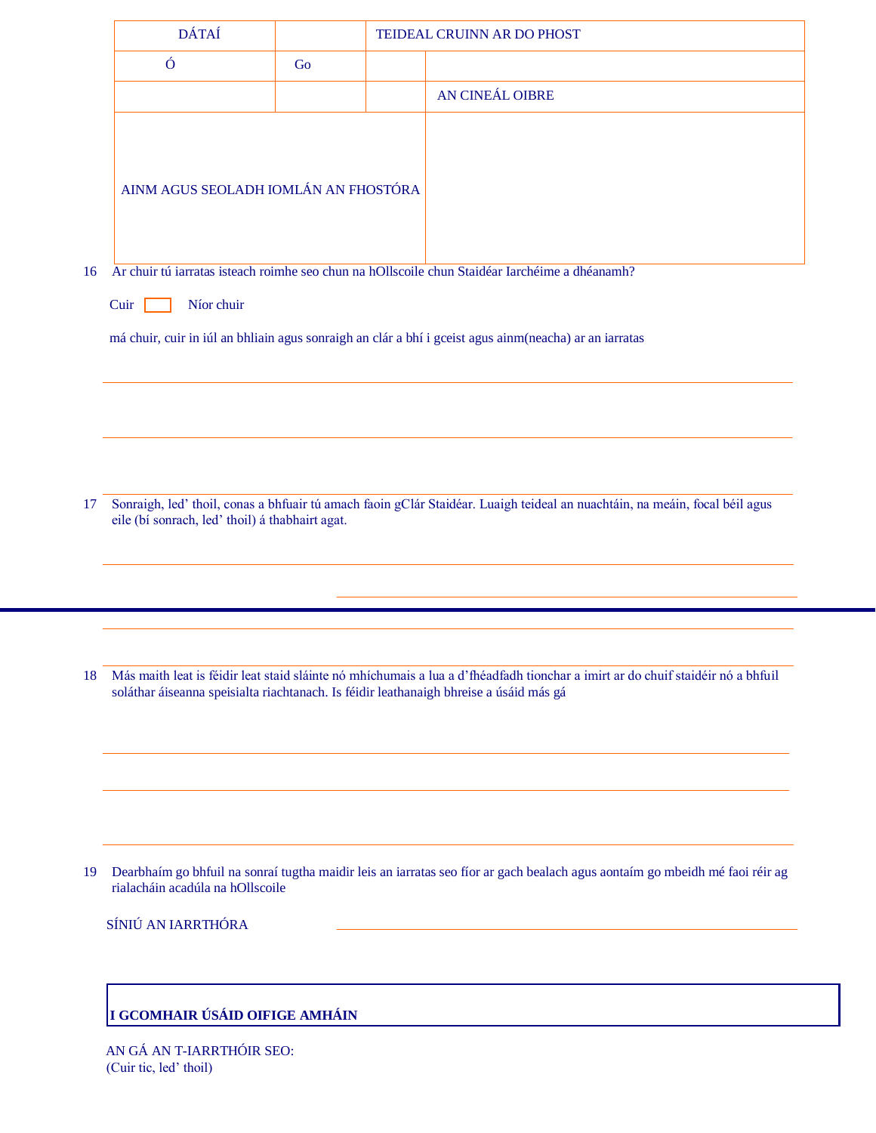|    | <b>DÁTAÍ</b>                                                                           |    | TEIDEAL CRUINN AR DO PHOST                                                                                                      |
|----|----------------------------------------------------------------------------------------|----|---------------------------------------------------------------------------------------------------------------------------------|
|    | Ó                                                                                      | Go |                                                                                                                                 |
|    |                                                                                        |    | AN CINEÁL OIBRE                                                                                                                 |
|    |                                                                                        |    |                                                                                                                                 |
|    |                                                                                        |    |                                                                                                                                 |
|    | AINM AGUS SEOLADH IOMLÁN AN FHOSTÓRA                                                   |    |                                                                                                                                 |
|    |                                                                                        |    |                                                                                                                                 |
|    |                                                                                        |    |                                                                                                                                 |
| 16 |                                                                                        |    | Ar chuir tú iarratas isteach roimhe seo chun na hOllscoile chun Staidéar Iarchéime a dhéanamh?                                  |
|    | Níor chuir<br>Cuir                                                                     |    |                                                                                                                                 |
|    |                                                                                        |    | má chuir, cuir in iúl an bhliain agus sonraigh an clár a bhí i gceist agus ainm(neacha) ar an iarratas                          |
|    |                                                                                        |    |                                                                                                                                 |
|    |                                                                                        |    |                                                                                                                                 |
|    |                                                                                        |    |                                                                                                                                 |
|    |                                                                                        |    |                                                                                                                                 |
| 17 | eile (bí sonrach, led' thoil) á thabhairt agat.                                        |    | Sonraigh, led' thoil, conas a bhfuair tú amach faoin gClár Staidéar. Luaigh teideal an nuachtáin, na meáin, focal béil agus     |
|    |                                                                                        |    |                                                                                                                                 |
|    |                                                                                        |    |                                                                                                                                 |
|    |                                                                                        |    |                                                                                                                                 |
|    |                                                                                        |    |                                                                                                                                 |
| 18 |                                                                                        |    | Más maith leat is féidir leat staid sláinte nó mhíchumais a lua a d'fhéadfadh tionchar a imirt ar do chuif staidéir nó a bhfuil |
|    | soláthar áiseanna speisialta riachtanach. Is féidir leathanaigh bhreise a úsáid más gá |    |                                                                                                                                 |
|    |                                                                                        |    |                                                                                                                                 |
|    |                                                                                        |    |                                                                                                                                 |
|    |                                                                                        |    |                                                                                                                                 |
|    |                                                                                        |    |                                                                                                                                 |
|    |                                                                                        |    |                                                                                                                                 |
| 19 | rialacháin acadúla na hOllscoile                                                       |    | Dearbhaím go bhfuil na sonraí tugtha maidir leis an iarratas seo fíor ar gach bealach agus aontaím go mbeidh mé faoi réir ag    |
|    | SÍNIÚ AN IARRTHÓRA                                                                     |    |                                                                                                                                 |
|    |                                                                                        |    |                                                                                                                                 |
|    |                                                                                        |    |                                                                                                                                 |
|    | I GCOMHAIR ÚSÁID OIFIGE AMHÁIN                                                         |    |                                                                                                                                 |
|    |                                                                                        |    |                                                                                                                                 |